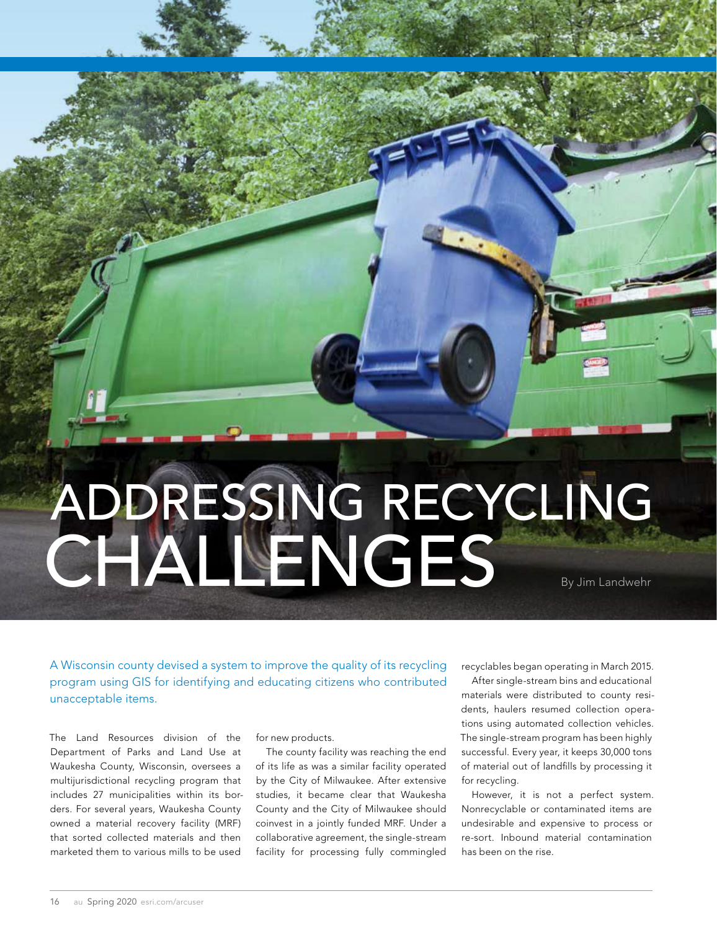# ADDRESSING RECYCLING CHALLENGES

A Wisconsin county devised a system to improve the quality of its recycling program using GIS for identifying and educating citizens who contributed unacceptable items.

The Land Resources division of the Department of Parks and Land Use at Waukesha County, Wisconsin, oversees a multijurisdictional recycling program that includes 27 municipalities within its borders. For several years, Waukesha County owned a material recovery facility (MRF) that sorted collected materials and then marketed them to various mills to be used

for new products.

The county facility was reaching the end of its life as was a similar facility operated by the City of Milwaukee. After extensive studies, it became clear that Waukesha County and the City of Milwaukee should coinvest in a jointly funded MRF. Under a collaborative agreement, the single-stream facility for processing fully commingled

recyclables began operating in March 2015.

After single-stream bins and educational materials were distributed to county residents, haulers resumed collection operations using automated collection vehicles. The single-stream program has been highly successful. Every year, it keeps 30,000 tons of material out of landfills by processing it for recycling.

However, it is not a perfect system. Nonrecyclable or contaminated items are undesirable and expensive to process or re-sort. Inbound material contamination has been on the rise.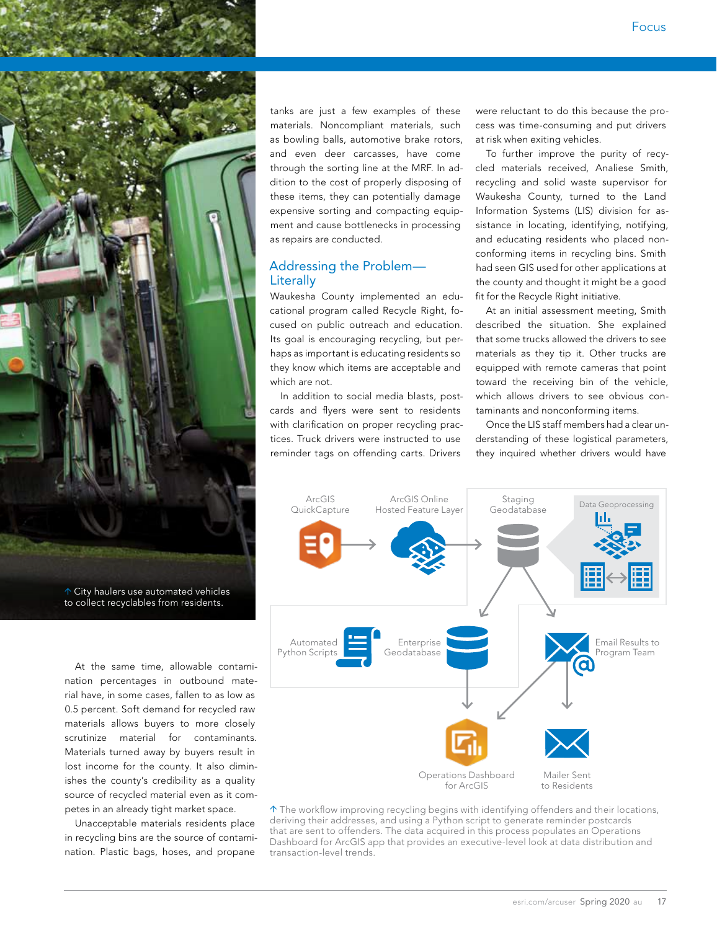

 City haulers use automated vehicles to collect recyclables from residents.

At the same time, allowable contamination percentages in outbound material have, in some cases, fallen to as low as 0.5 percent. Soft demand for recycled raw materials allows buyers to more closely scrutinize material for contaminants. Materials turned away by buyers result in lost income for the county. It also diminishes the county's credibility as a quality source of recycled material even as it competes in an already tight market space.

Unacceptable materials residents place in recycling bins are the source of contamination. Plastic bags, hoses, and propane

tanks are just a few examples of these materials. Noncompliant materials, such as bowling balls, automotive brake rotors, and even deer carcasses, have come through the sorting line at the MRF. In addition to the cost of properly disposing of these items, they can potentially damage expensive sorting and compacting equipment and cause bottlenecks in processing as repairs are conducted.

# Addressing the Problem— **Literally**

Waukesha County implemented an educational program called Recycle Right, focused on public outreach and education. Its goal is encouraging recycling, but perhaps as important is educating residents so they know which items are acceptable and which are not.

In addition to social media blasts, postcards and flyers were sent to residents with clarification on proper recycling practices. Truck drivers were instructed to use reminder tags on offending carts. Drivers

were reluctant to do this because the process was time-consuming and put drivers at risk when exiting vehicles.

To further improve the purity of recycled materials received, Analiese Smith, recycling and solid waste supervisor for Waukesha County, turned to the Land Information Systems (LIS) division for assistance in locating, identifying, notifying, and educating residents who placed nonconforming items in recycling bins. Smith had seen GIS used for other applications at the county and thought it might be a good fit for the Recycle Right initiative.

At an initial assessment meeting, Smith described the situation. She explained that some trucks allowed the drivers to see materials as they tip it. Other trucks are equipped with remote cameras that point toward the receiving bin of the vehicle, which allows drivers to see obvious contaminants and nonconforming items.

Once the LIS staff members had a clear understanding of these logistical parameters, they inquired whether drivers would have



 $\uparrow$  The workflow improving recycling begins with identifying offenders and their locations, deriving their addresses, and using a Python script to generate reminder postcards that are sent to offenders. The data acquired in this process populates an Operations Dashboard for ArcGIS app that provides an executive-level look at data distribution and transaction-level trends.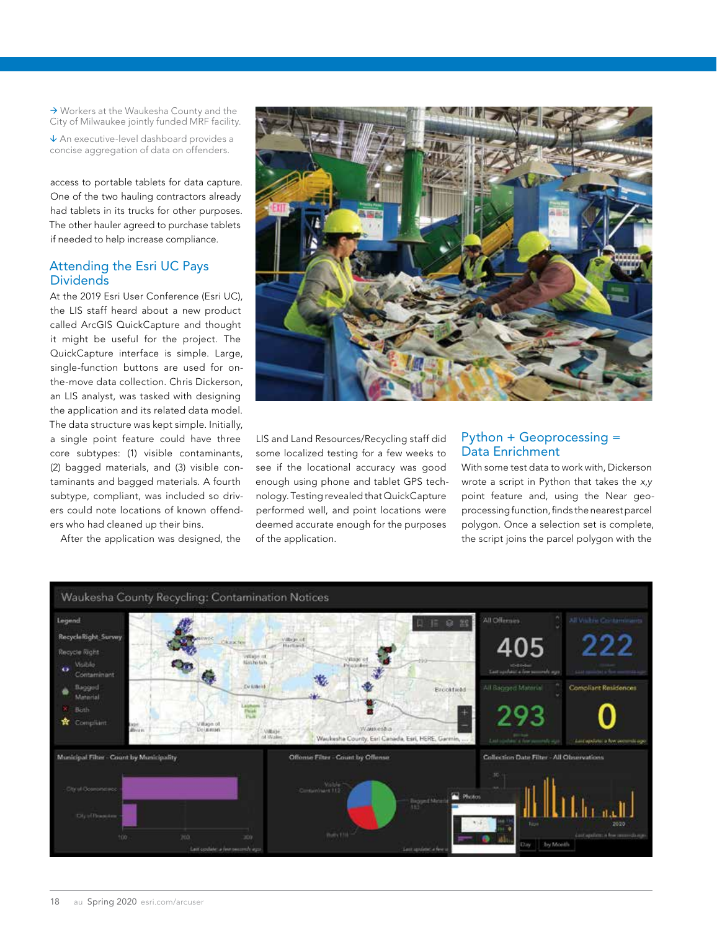→ Workers at the Waukesha County and the City of Milwaukee jointly funded MRF facility.

 An executive-level dashboard provides a concise aggregation of data on offenders.

access to portable tablets for data capture. One of the two hauling contractors already had tablets in its trucks for other purposes. The other hauler agreed to purchase tablets if needed to help increase compliance.

## Attending the Esri UC Pays **Dividends**

At the 2019 Esri User Conference (Esri UC), the LIS staff heard about a new product called ArcGIS QuickCapture and thought it might be useful for the project. The QuickCapture interface is simple. Large, single-function buttons are used for onthe-move data collection. Chris Dickerson, an LIS analyst, was tasked with designing the application and its related data model. The data structure was kept simple. Initially, a single point feature could have three core subtypes: (1) visible contaminants, (2) bagged materials, and (3) visible contaminants and bagged materials. A fourth subtype, compliant, was included so drivers could note locations of known offenders who had cleaned up their bins.

After the application was designed, the



LIS and Land Resources/Recycling staff did some localized testing for a few weeks to see if the locational accuracy was good enough using phone and tablet GPS technology. Testing revealed that QuickCapture performed well, and point locations were deemed accurate enough for the purposes of the application.

## Python + Geoprocessing = Data Enrichment

With some test data to work with, Dickerson wrote a script in Python that takes the *x,y* point feature and, using the Near geoprocessing function, finds the nearest parcel polygon. Once a selection set is complete, the script joins the parcel polygon with the